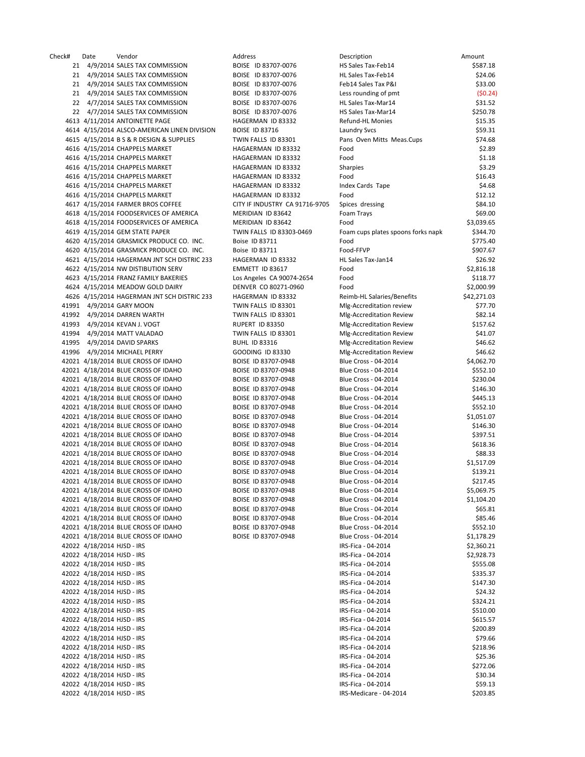| k#    |                            | Vendor                                       | <b>Address</b>                 |                                    |             |
|-------|----------------------------|----------------------------------------------|--------------------------------|------------------------------------|-------------|
|       | Date                       |                                              |                                | Description                        | Amount      |
| 21    |                            | 4/9/2014 SALES TAX COMMISSION                | BOISE ID 83707-0076            | HS Sales Tax-Feb14                 | \$587.18    |
|       |                            | 21 4/9/2014 SALES TAX COMMISSION             | BOISE ID 83707-0076            | HL Sales Tax-Feb14                 | \$24.06     |
|       |                            | 21 4/9/2014 SALES TAX COMMISSION             | BOISE ID 83707-0076            | Feb14 Sales Tax P&I                | \$33.00     |
| 21    |                            | 4/9/2014 SALES TAX COMMISSION                | BOISE ID 83707-0076            | Less rounding of pmt               | (50.24)     |
|       |                            |                                              |                                |                                    |             |
| 22    |                            | 4/7/2014 SALES TAX COMMISSION                | BOISE ID 83707-0076            | <b>HL Sales Tax-Mar14</b>          | \$31.52     |
| 22    |                            | 4/7/2014 SALES TAX COMMISSION                | BOISE ID 83707-0076            | HS Sales Tax-Mar14                 | \$250.78    |
|       |                            | 4613 4/11/2014 ANTOINETTE PAGE               | HAGERMAN ID 83332              | Refund-HL Monies                   | \$15.35     |
|       |                            | 4614 4/15/2014 ALSCO-AMERICAN LINEN DIVISION | <b>BOISE ID 83716</b>          | <b>Laundry Svcs</b>                | \$59.31     |
|       |                            | 4615 4/15/2014 B S & R DESIGN & SUPPLIES     | TWIN FALLS ID 83301            | Pans Oven Mitts Meas.Cups          | \$74.68     |
|       |                            |                                              |                                |                                    |             |
|       |                            | 4616 4/15/2014 CHAPPELS MARKET               | HAGAERMAN ID 83332             | Food                               | \$2.89      |
|       |                            | 4616 4/15/2014 CHAPPELS MARKET               | HAGAERMAN ID 83332             | Food                               | \$1.18      |
|       |                            | 4616 4/15/2014 CHAPPELS MARKET               | HAGAERMAN ID 83332             | <b>Sharpies</b>                    | \$3.29      |
|       |                            | 4616 4/15/2014 CHAPPELS MARKET               | HAGAERMAN ID 83332             | Food                               | \$16.43     |
|       |                            | 4616 4/15/2014 CHAPPELS MARKET               | HAGAERMAN ID 83332             |                                    | \$4.68      |
|       |                            |                                              |                                | Index Cards Tape                   |             |
|       |                            | 4616 4/15/2014 CHAPPELS MARKET               | HAGAERMAN ID 83332             | Food                               | \$12.12     |
|       |                            | 4617 4/15/2014 FARMER BROS COFFEE            | CITY IF INDUSTRY CA 91716-9705 | Spices dressing                    | \$84.10     |
|       |                            | 4618 4/15/2014 FOODSERVICES OF AMERICA       | MERIDIAN ID 83642              | Foam Trays                         | \$69.00     |
|       |                            | 4618 4/15/2014 FOODSERVICES OF AMERICA       | MERIDIAN ID 83642              | Food                               | \$3,039.65  |
|       |                            |                                              |                                |                                    |             |
|       |                            | 4619 4/15/2014 GEM STATE PAPER               | TWIN FALLS ID 83303-0469       | Foam cups plates spoons forks napk | \$344.70    |
|       |                            | 4620 4/15/2014 GRASMICK PRODUCE CO. INC.     | Boise ID 83711                 | Food                               | \$775.40    |
|       |                            | 4620 4/15/2014 GRASMICK PRODUCE CO. INC.     | Boise ID 83711                 | Food-FFVP                          | \$907.67    |
|       |                            | 4621 4/15/2014 HAGERMAN JNT SCH DISTRIC 233  | HAGERMAN ID 83332              | HL Sales Tax-Jan14                 | \$26.92     |
|       |                            | 4622 4/15/2014 NW DISTIBUTION SERV           | EMMETT ID 83617                | Food                               | \$2,816.18  |
|       |                            |                                              |                                |                                    |             |
|       |                            | 4623 4/15/2014 FRANZ FAMILY BAKERIES         | Los Angeles CA 90074-2654      | Food                               | \$118.77    |
|       |                            | 4624 4/15/2014 MEADOW GOLD DAIRY             | DENVER CO 80271-0960           | Food                               | \$2,000.99  |
|       |                            | 4626 4/15/2014 HAGERMAN JNT SCH DISTRIC 233  | HAGERMAN ID 83332              | Reimb-HL Salaries/Benefits         | \$42,271.03 |
|       |                            | 11991 4/9/2014 GARY MOON                     | TWIN FALLS ID 83301            | Mlg-Accreditation review           | \$77.70     |
|       |                            | 11992 4/9/2014 DARREN WARTH                  | TWIN FALLS ID 83301            | Mlg-Accreditation Review           | \$82.14     |
|       |                            |                                              |                                |                                    |             |
|       |                            | 11993 4/9/2014 KEVAN J. VOGT                 | RUPERT ID 83350                | Mlg-Accreditation Review           | \$157.62    |
| 11994 |                            | 4/9/2014 MATT VALADAO                        | TWIN FALLS ID 83301            | Mlg-Accreditation Review           | \$41.07     |
| 11995 |                            | 4/9/2014 DAVID SPARKS                        | <b>BUHL ID 83316</b>           | Mlg-Accreditation Review           | \$46.62     |
| 11996 |                            | 4/9/2014 MICHAEL PERRY                       | GOODING ID 83330               | Mlg-Accreditation Review           | \$46.62     |
|       |                            |                                              |                                |                                    |             |
|       |                            | 12021 4/18/2014 BLUE CROSS OF IDAHO          | BOISE ID 83707-0948            | Blue Cross - 04-2014               | \$4,062.70  |
|       |                            | 12021 4/18/2014 BLUE CROSS OF IDAHO          | BOISE ID 83707-0948            | Blue Cross - 04-2014               | \$552.10    |
|       |                            | 12021 4/18/2014 BLUE CROSS OF IDAHO          | BOISE ID 83707-0948            | Blue Cross - 04-2014               | \$230.04    |
|       |                            | 12021 4/18/2014 BLUE CROSS OF IDAHO          | BOISE ID 83707-0948            | Blue Cross - 04-2014               | \$146.30    |
|       |                            | 12021 4/18/2014 BLUE CROSS OF IDAHO          | BOISE ID 83707-0948            | Blue Cross - 04-2014               | \$445.13    |
|       |                            |                                              |                                |                                    |             |
|       |                            | 12021 4/18/2014 BLUE CROSS OF IDAHO          | BOISE ID 83707-0948            | Blue Cross - 04-2014               | \$552.10    |
|       |                            | 12021 4/18/2014 BLUE CROSS OF IDAHO          | BOISE ID 83707-0948            | Blue Cross - 04-2014               | \$1,051.07  |
|       |                            | 12021 4/18/2014 BLUE CROSS OF IDAHO          | BOISE ID 83707-0948            | <b>Blue Cross - 04-2014</b>        | \$146.30    |
|       |                            | 12021 4/18/2014 BLUE CROSS OF IDAHO          | BOISE ID 83707-0948            | Blue Cross - 04-2014               | \$397.51    |
|       |                            | 12021 4/18/2014 BLUE CROSS OF IDAHO          |                                | Blue Cross - 04-2014               |             |
|       |                            |                                              | BOISE ID 83707-0948            |                                    | \$618.36    |
|       |                            | 12021 4/18/2014 BLUE CROSS OF IDAHO          | BOISE ID 83707-0948            | Blue Cross - 04-2014               | \$88.33     |
|       |                            | 12021 4/18/2014 BLUE CROSS OF IDAHO          | BOISE ID 83707-0948            | Blue Cross - 04-2014               | \$1,517.09  |
|       |                            | 12021 4/18/2014 BLUE CROSS OF IDAHO          | BOISE ID 83707-0948            | Blue Cross - 04-2014               | \$139.21    |
|       |                            | 12021 4/18/2014 BLUE CROSS OF IDAHO          | BOISE ID 83707-0948            | Blue Cross - 04-2014               | \$217.45    |
|       |                            |                                              |                                |                                    |             |
|       |                            | 12021 4/18/2014 BLUE CROSS OF IDAHO          | BOISE ID 83707-0948            | Blue Cross - 04-2014               | \$5,069.75  |
|       |                            | 12021 4/18/2014 BLUE CROSS OF IDAHO          | BOISE ID 83707-0948            | Blue Cross - 04-2014               | \$1,104.20  |
|       |                            | 12021 4/18/2014 BLUE CROSS OF IDAHO          | BOISE ID 83707-0948            | Blue Cross - 04-2014               | \$65.81     |
|       |                            | 12021 4/18/2014 BLUE CROSS OF IDAHO          | BOISE ID 83707-0948            | Blue Cross - 04-2014               | \$85.46     |
|       |                            | 12021 4/18/2014 BLUE CROSS OF IDAHO          | BOISE ID 83707-0948            | Blue Cross - 04-2014               |             |
|       |                            |                                              |                                |                                    | \$552.10    |
|       |                            | 12021 4/18/2014 BLUE CROSS OF IDAHO          | BOISE ID 83707-0948            | Blue Cross - 04-2014               | \$1,178.29  |
|       | 12022 4/18/2014 HJSD - IRS |                                              |                                | IRS-Fica - 04-2014                 | \$2,360.21  |
|       | 12022 4/18/2014 HJSD - IRS |                                              |                                | IRS-Fica - 04-2014                 | \$2,928.73  |
|       | 12022 4/18/2014 HJSD - IRS |                                              |                                | IRS-Fica - 04-2014                 | \$555.08    |
|       |                            |                                              |                                |                                    |             |
|       | 12022 4/18/2014 HJSD - IRS |                                              |                                | IRS-Fica - 04-2014                 | \$335.37    |
|       | 12022 4/18/2014 HJSD - IRS |                                              |                                | IRS-Fica - 04-2014                 | \$147.30    |
|       | 12022 4/18/2014 HJSD - IRS |                                              |                                | IRS-Fica - 04-2014                 | \$24.32     |
|       | 12022 4/18/2014 HJSD - IRS |                                              |                                | IRS-Fica - 04-2014                 | \$324.21    |
|       | 12022 4/18/2014 HJSD - IRS |                                              |                                | IRS-Fica - 04-2014                 | \$510.00    |
|       |                            |                                              |                                |                                    |             |
|       | 12022 4/18/2014 HJSD - IRS |                                              |                                | IRS-Fica - 04-2014                 | \$615.57    |
|       | 12022 4/18/2014 HJSD - IRS |                                              |                                | IRS-Fica - 04-2014                 | \$200.89    |
|       | 12022 4/18/2014 HJSD - IRS |                                              |                                | IRS-Fica - 04-2014                 | \$79.66     |
|       | 12022 4/18/2014 HJSD - IRS |                                              |                                | IRS-Fica - 04-2014                 | \$218.96    |
|       |                            |                                              |                                |                                    |             |
|       | 12022 4/18/2014 HJSD - IRS |                                              |                                | IRS-Fica - 04-2014                 | \$25.36     |
|       | 12022 4/18/2014 HJSD - IRS |                                              |                                | IRS-Fica - 04-2014                 | \$272.06    |
|       | 12022 4/18/2014 HJSD - IRS |                                              |                                | IRS-Fica - 04-2014                 | \$30.34     |
|       | 12022 4/18/2014 HJSD - IRS |                                              |                                | IRS-Fica - 04-2014                 | \$59.13     |
|       |                            |                                              |                                |                                    |             |
|       | 12022 4/18/2014 HJSD - IRS |                                              |                                | IRS-Medicare - 04-2014             | \$203.85    |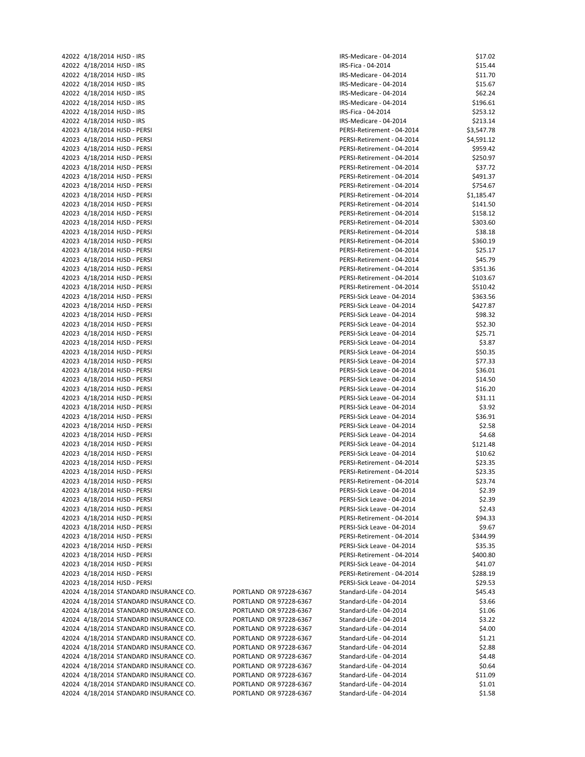|       | 42022 4/18/2014 HJSD - IRS |                                  |
|-------|----------------------------|----------------------------------|
|       | 42022 4/18/2014 HJSD - IRS |                                  |
|       | 42022 4/18/2014 HJSD - IRS |                                  |
|       | 42022 4/18/2014 HJSD - IRS |                                  |
|       | 42022 4/18/2014 HJSD - IRS |                                  |
|       | 42022 4/18/2014 HJSD - IRS |                                  |
|       | 42022 4/18/2014 HJSD - IRS |                                  |
|       | 42022 4/18/2014 HJSD - IRS |                                  |
|       |                            |                                  |
|       |                            | 42023 4/18/2014 HJSD - PERSI     |
|       |                            | 42023 4/18/2014 HJSD - PERSI     |
|       |                            | 42023 4/18/2014 HJSD - PERSI     |
|       |                            | 42023 4/18/2014 HJSD - PERSI     |
|       |                            | 42023 4/18/2014 HJSD - PERSI     |
|       |                            | 42023 4/18/2014 HJSD - PERSI     |
|       |                            | 42023 4/18/2014 HJSD - PERSI     |
|       |                            | 42023 4/18/2014 HJSD - PERSI     |
|       |                            | 42023 4/18/2014 HJSD - PERSI     |
|       |                            | 42023 4/18/2014 HJSD - PERSI     |
|       |                            | 42023 4/18/2014 HJSD - PERSI     |
|       |                            | 42023 4/18/2014 HJSD - PERSI     |
|       |                            | 42023 4/18/2014 HJSD - PERSI     |
|       |                            | 42023 4/18/2014 HJSD - PERSI     |
|       |                            | 42023 4/18/2014 HJSD - PERSI     |
|       |                            |                                  |
|       |                            | 42023 4/18/2014 HJSD - PERSI     |
|       |                            | 42023 4/18/2014 HJSD - PERSI     |
|       |                            | 42023 4/18/2014 HJSD - PERSI     |
|       |                            | 42023 4/18/2014 HJSD - PERSI     |
|       |                            | 42023 4/18/2014 HJSD - PERSI     |
|       |                            | 42023 4/18/2014 HJSD - PERSI     |
|       |                            | 42023 4/18/2014 HJSD - PERSI     |
|       |                            | 42023 4/18/2014 HJSD - PERSI     |
|       |                            | 42023 4/18/2014 HJSD - PERSI     |
|       |                            | 42023 4/18/2014 HJSD - PERSI     |
|       |                            | 42023 4/18/2014 HJSD - PERSI     |
|       |                            | 42023 4/18/2014 HJSD - PERSI     |
|       |                            | 42023 4/18/2014 HJSD - PERSI     |
|       |                            | 42023 4/18/2014 HJSD - PERSI     |
|       |                            | 42023 4/18/2014 HJSD - PERSI     |
|       |                            | 42023 4/18/2014 HJSD - PERSI     |
|       |                            |                                  |
|       |                            | 42023 4/18/2014 HJSD - PERSI     |
|       |                            | 42023 4/18/2014 HJSD - PERSI     |
|       |                            | 42023 4/18/2014 HJSD - PERSI     |
|       |                            | 42023 4/18/2014 HJSD - PERSI     |
|       |                            | 42023 4/18/2014 HJSD - PERSI     |
|       |                            | 42023 4/18/2014 HJSD - PERSI     |
|       |                            | 42023 4/18/2014 HJSD - PERSI     |
|       |                            | 42023 4/18/2014 HJSD - PERSI     |
| 42023 |                            | 4/18/2014 HJSD - PERSI           |
|       |                            | 42023 4/18/2014 HJSD - PERSI     |
|       |                            | 42023 4/18/2014 HJSD - PERSI     |
|       |                            | 42023 4/18/2014 HJSD - PERSI     |
|       |                            | 42023 4/18/2014 HJSD - PERSI     |
|       |                            | 42023 4/18/2014 HJSD - PERSI     |
|       |                            | 42023 4/18/2014 HJSD - PERSI     |
|       |                            |                                  |
|       |                            | 42023 4/18/2014 HJSD - PERSI     |
| 42023 |                            | 4/18/2014 HJSD - PERSI           |
| 42023 |                            | 4/18/2014 HJSD - PERSI           |
|       |                            | 42023 4/18/2014 HJSD - PERSI     |
|       |                            | 42024 4/18/2014 STANDARD INSURAN |
|       |                            | 42024 4/18/2014 STANDARD INSURAN |
|       |                            | 42024 4/18/2014 STANDARD INSURAN |
|       |                            | 42024 4/18/2014 STANDARD INSURAN |
|       |                            | 42024 4/18/2014 STANDARD INSURAN |
| 42024 |                            | 4/18/2014 STANDARD INSURAN       |
|       |                            | 42024 4/18/2014 STANDARD INSURAN |
|       |                            | 42024 4/18/2014 STANDARD INSURAN |
|       |                            | 42024 4/18/2014 STANDARD INSURAN |
|       |                            | 42024 4/18/2014 STANDARD INSURAN |
|       |                            | 42024 4/18/2014 STANDARD INSURAN |
|       |                            | 42024 4/18/2014 STANDARD INSURAN |
|       |                            |                                  |

| 42022 4/18/2014 HJSD - IRS             |                        | IRS-Medicare - 04-2014     | \$17.02    |
|----------------------------------------|------------------------|----------------------------|------------|
| 42022 4/18/2014 HJSD - IRS             |                        | IRS-Fica - 04-2014         | \$15.44    |
| 42022 4/18/2014 HJSD - IRS             |                        | IRS-Medicare - 04-2014     | \$11.70    |
| 42022 4/18/2014 HJSD - IRS             |                        | IRS-Medicare - 04-2014     | \$15.67    |
| 42022 4/18/2014 HJSD - IRS             |                        | IRS-Medicare - 04-2014     | \$62.24    |
| 42022 4/18/2014 HJSD - IRS             |                        | IRS-Medicare - 04-2014     | \$196.61   |
| 42022 4/18/2014 HJSD - IRS             |                        | IRS-Fica - 04-2014         | \$253.12   |
|                                        |                        |                            |            |
| 42022 4/18/2014 HJSD - IRS             |                        | IRS-Medicare - 04-2014     | \$213.14   |
| 42023 4/18/2014 HJSD - PERSI           |                        | PERSI-Retirement - 04-2014 | \$3,547.78 |
| 42023 4/18/2014 HJSD - PERSI           |                        | PERSI-Retirement - 04-2014 | \$4,591.12 |
| 42023 4/18/2014 HJSD - PERSI           |                        | PERSI-Retirement - 04-2014 | \$959.42   |
| 42023 4/18/2014 HJSD - PERSI           |                        | PERSI-Retirement - 04-2014 | \$250.97   |
| 42023 4/18/2014 HJSD - PERSI           |                        | PERSI-Retirement - 04-2014 | \$37.72    |
| 42023 4/18/2014 HJSD - PERSI           |                        | PERSI-Retirement - 04-2014 | \$491.37   |
| 42023 4/18/2014 HJSD - PERSI           |                        | PERSI-Retirement - 04-2014 | \$754.67   |
| 42023 4/18/2014 HJSD - PERSI           |                        | PERSI-Retirement - 04-2014 | \$1,185.47 |
| 42023 4/18/2014 HJSD - PERSI           |                        | PERSI-Retirement - 04-2014 | \$141.50   |
|                                        |                        |                            |            |
| 42023 4/18/2014 HJSD - PERSI           |                        | PERSI-Retirement - 04-2014 | \$158.12   |
| 42023 4/18/2014 HJSD - PERSI           |                        | PERSI-Retirement - 04-2014 | \$303.60   |
| 42023 4/18/2014 HJSD - PERSI           |                        | PERSI-Retirement - 04-2014 | \$38.18    |
| 42023 4/18/2014 HJSD - PERSI           |                        | PERSI-Retirement - 04-2014 | \$360.19   |
| 42023 4/18/2014 HJSD - PERSI           |                        | PERSI-Retirement - 04-2014 | \$25.17    |
| 42023 4/18/2014 HJSD - PERSI           |                        | PERSI-Retirement - 04-2014 | \$45.79    |
| 42023 4/18/2014 HJSD - PERSI           |                        | PERSI-Retirement - 04-2014 | \$351.36   |
| 42023 4/18/2014 HJSD - PERSI           |                        | PERSI-Retirement - 04-2014 | \$103.67   |
| 42023 4/18/2014 HJSD - PERSI           |                        | PERSI-Retirement - 04-2014 | \$510.42   |
| 42023 4/18/2014 HJSD - PERSI           |                        | PERSI-Sick Leave - 04-2014 | \$363.56   |
|                                        |                        |                            |            |
| 42023 4/18/2014 HJSD - PERSI           |                        | PERSI-Sick Leave - 04-2014 | \$427.87   |
| 42023 4/18/2014 HJSD - PERSI           |                        | PERSI-Sick Leave - 04-2014 | \$98.32    |
| 42023 4/18/2014 HJSD - PERSI           |                        | PERSI-Sick Leave - 04-2014 | \$52.30    |
| 42023 4/18/2014 HJSD - PERSI           |                        | PERSI-Sick Leave - 04-2014 | \$25.71    |
| 42023 4/18/2014 HJSD - PERSI           |                        | PERSI-Sick Leave - 04-2014 | \$3.87     |
| 42023 4/18/2014 HJSD - PERSI           |                        | PERSI-Sick Leave - 04-2014 | \$50.35    |
| 42023 4/18/2014 HJSD - PERSI           |                        | PERSI-Sick Leave - 04-2014 | \$77.33    |
| 42023 4/18/2014 HJSD - PERSI           |                        | PERSI-Sick Leave - 04-2014 | \$36.01    |
| 42023 4/18/2014 HJSD - PERSI           |                        | PERSI-Sick Leave - 04-2014 | \$14.50    |
| 42023 4/18/2014 HJSD - PERSI           |                        | PERSI-Sick Leave - 04-2014 | \$16.20    |
|                                        |                        |                            |            |
| 42023 4/18/2014 HJSD - PERSI           |                        | PERSI-Sick Leave - 04-2014 | \$31.11    |
| 42023 4/18/2014 HJSD - PERSI           |                        | PERSI-Sick Leave - 04-2014 | \$3.92     |
| 42023 4/18/2014 HJSD - PERSI           |                        | PERSI-Sick Leave - 04-2014 | \$36.91    |
| 42023 4/18/2014 HJSD - PERSI           |                        | PERSI-Sick Leave - 04-2014 | \$2.58     |
| 42023 4/18/2014 HJSD - PERSI           |                        | PERSI-Sick Leave - 04-2014 | \$4.68     |
| 42023 4/18/2014 HJSD - PERSI           |                        | PERSI-Sick Leave - 04-2014 | \$121.48   |
| 42023 4/18/2014 HJSD - PERSI           |                        | PERSI-Sick Leave - 04-2014 | \$10.62    |
| 42023 4/18/2014 HJSD - PERSI           |                        | PERSI-Retirement - 04-2014 | \$23.35    |
| 42023 4/18/2014 HJSD - PERSI           |                        | PERSI-Retirement - 04-2014 | \$23.35    |
| 42023 4/18/2014 HJSD - PERSI           |                        | PERSI-Retirement - 04-2014 | \$23.74    |
| 42023 4/18/2014 HJSD - PERSI           |                        | PERSI-Sick Leave - 04-2014 | \$2.39     |
|                                        |                        |                            |            |
| 42023 4/18/2014 HJSD - PERSI           |                        | PERSI-Sick Leave - 04-2014 | \$2.39     |
| 42023 4/18/2014 HJSD - PERSI           |                        | PERSI-Sick Leave - 04-2014 | \$2.43     |
| 42023 4/18/2014 HJSD - PERSI           |                        | PERSI-Retirement - 04-2014 | \$94.33    |
| 42023 4/18/2014 HJSD - PERSI           |                        | PERSI-Sick Leave - 04-2014 | \$9.67     |
| 42023 4/18/2014 HJSD - PERSI           |                        | PERSI-Retirement - 04-2014 | \$344.99   |
| 42023 4/18/2014 HJSD - PERSI           |                        | PERSI-Sick Leave - 04-2014 | \$35.35    |
| 42023 4/18/2014 HJSD - PERSI           |                        | PERSI-Retirement - 04-2014 | \$400.80   |
| 42023 4/18/2014 HJSD - PERSI           |                        | PERSI-Sick Leave - 04-2014 | \$41.07    |
| 42023 4/18/2014 HJSD - PERSI           |                        | PERSI-Retirement - 04-2014 | \$288.19   |
| 42023 4/18/2014 HJSD - PERSI           |                        |                            | \$29.53    |
|                                        |                        | PERSI-Sick Leave - 04-2014 |            |
| 42024 4/18/2014 STANDARD INSURANCE CO. | PORTLAND OR 97228-6367 | Standard-Life - 04-2014    | \$45.43    |
| 42024 4/18/2014 STANDARD INSURANCE CO. | PORTLAND OR 97228-6367 | Standard-Life - 04-2014    | \$3.66     |
| 42024 4/18/2014 STANDARD INSURANCE CO. | PORTLAND OR 97228-6367 | Standard-Life - 04-2014    | \$1.06     |
| 42024 4/18/2014 STANDARD INSURANCE CO. | PORTLAND OR 97228-6367 | Standard-Life - 04-2014    | \$3.22     |
| 42024 4/18/2014 STANDARD INSURANCE CO. | PORTLAND OR 97228-6367 | Standard-Life - 04-2014    | \$4.00     |
| 42024 4/18/2014 STANDARD INSURANCE CO. | PORTLAND OR 97228-6367 | Standard-Life - 04-2014    | \$1.21     |
| 42024 4/18/2014 STANDARD INSURANCE CO. | PORTLAND OR 97228-6367 | Standard-Life - 04-2014    | \$2.88     |
| 42024 4/18/2014 STANDARD INSURANCE CO. | PORTLAND OR 97228-6367 | Standard-Life - 04-2014    | \$4.48     |
| 42024 4/18/2014 STANDARD INSURANCE CO. | PORTLAND OR 97228-6367 | Standard-Life - 04-2014    | \$0.64     |
| 42024 4/18/2014 STANDARD INSURANCE CO. | PORTLAND OR 97228-6367 | Standard-Life - 04-2014    | \$11.09    |
| 42024 4/18/2014 STANDARD INSURANCE CO. | PORTLAND OR 97228-6367 | Standard-Life - 04-2014    |            |
|                                        |                        |                            | \$1.01     |
| 42024 4/18/2014 STANDARD INSURANCE CO. | PORTLAND OR 97228-6367 | Standard-Life - 04-2014    | \$1.58     |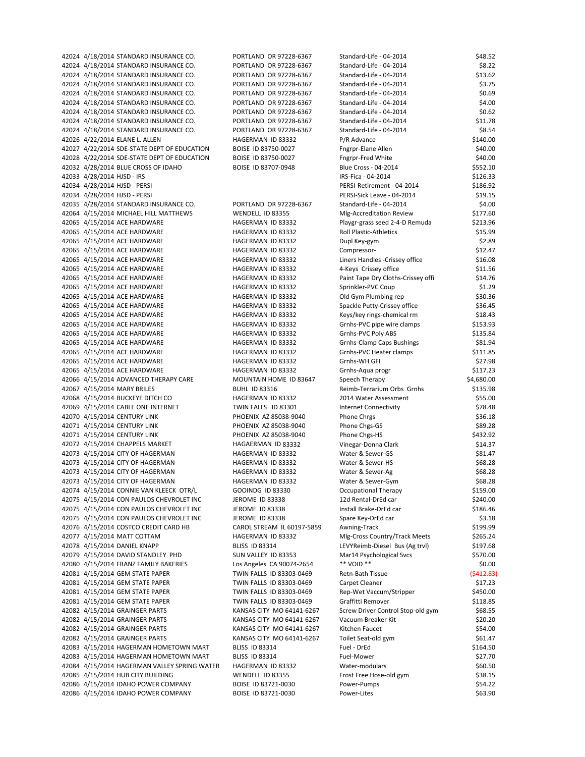42024 4/18/2014 STANDARD INSURANCE CO. PORTLAND OR 97228-6367 Standard-Life - 04-2014 \$8.22 42024 4/18/2014 STANDARD INSURANCE CO. PORTLAND OR 97228-6367 Standard-Life - 04-2014 \$13.62 42024 4/18/2014 STANDARD INSURANCE CO. PORTLAND OR 97228-6367 Standard-Life - 04-2014 \$3.75 42024 4/18/2014 STANDARD INSURANCE CO. PORTLAND OR 97228-6367 Standard-Life - 04-2014 \$0.69 42024 4/18/2014 STANDARD INSURANCE CO. PORTLAND OR 97228-6367 Standard-Life - 04-2014 \$4.00 42024 4/18/2014 STANDARD INSURANCE CO. PORTLAND OR 97228-6367 Standard-Life - 04-2014 \$0.62 42024 4/18/2014 STANDARD INSURANCE CO. PORTLAND OR 97228-6367 Standard-Life - 04-2014 \$11.78 42024 4/18/2014 STANDARD INSURANCE CO. PORTLAND OR 97228‐6367 Standard‐Life ‐ 04‐2014 \$8.54 42026 4/22/2014 ELANE L. ALLEN HAGERMAN ID 83332 P/R Advance \$140.00 42027 4/22/2014 SDE‐STATE DEPT OF EDUCATION BOISE ID 83750‐0027 Fngrpr‐Elane Allen \$40.00 42028 4/22/2014 SDE‐STATE DEPT OF EDUCATION BOISE ID 83750‐0027 Fngrpr‐Fred White \$40.00 42032 4/28/2014 BLUE CROSS OF IDAHO BOISE ID 83707-0948 Blue Cross - 04-2014 \$552.10 42033 4/28/2014 HJSD ‐ IRS IRS‐Fica ‐ 04‐2014 \$126.33 42034 4/28/2014 HJSD ‐ PERSI PERSI‐Retirement ‐ 04‐2014 \$186.92 42034 4/28/2014 HJSD ‐ PERSI PERSI‐Sick Leave ‐ 04‐2014 \$19.15 42035 4/28/2014 STANDARD INSURANCE CO. PORTLAND OR 97228-6367 Standard-Life - 04-2014 \$4.00 42064 4/15/2014 MICHAEL HILL MATTHEWS WENDELL ID 83355 MIg-Accreditation Review \$177.60 42065 4/15/2014 ACE HARDWARE HAGERMAN ID 83332 Playgr-grass seed 2-4-D Remuda \$213.96 42065 4/15/2014 ACE HARDWARE HAGERMAN ID 83332 Roll Plastic-Athletics \$15.99 42065 4/15/2014 ACE HARDWARE 
HAGERMAN ID 83332 
UP Dupl Key-gym 
S2.89 42065 4/15/2014 ACE HARDWARE HAGERMAN ID 83332 Compressor‐ \$12.47 42065 4/15/2014 ACE HARDWARE HAGERMAN ID 83332 Liners Handles -Crissey office \$16.08 42065 4/15/2014 ACE HARDWARE **HAGERMAN ID 83332** 4-Keys Crissey office \$11.56 42065 4/15/2014 ACE HARDWARE HAGERMAN ID 83332 Paint Tape Dry Cloths-Crissey offi \$14.76 42065 4/15/2014 ACE HARDWARE 
Sprinkler-PVC Coup \$1.29 42065 4/15/2014 ACE HARDWARE HAGERMAN ID 83332 Old Gym Plumbing rep \$30.36 42065 4/15/2014 ACE HARDWARE HAGERMAN ID 83332 Spackle Putty-Crissey office \$36.45 42065 4/15/2014 ACE HARDWARE HAGERMAN ID 83332 Keys/key rings-chemical rm \$18.43 42065 4/15/2014 ACE HARDWARE HAGERMAN ID 83332 Grnhs-PVC pipe wire clamps \$153.93 42065 4/15/2014 ACE HARDWARE HAGERMAN ID 83332 Grnhs-PVC Poly ABS \$135.84 42065 4/15/2014 ACE HARDWARE HAGERMAN ID 83332 Grnhs-Clamp Caps Bushings \$81.94 42065 4/15/2014 ACE HARDWARE HAGERMAN ID 83332 Grnhs-PVC Heater clamps \$111.85 42065 4/15/2014 ACE HARDWARE 
HAGERMAN ID 83332 Grnhs-WH GFI STATES AND \$27.98 42065 4/15/2014 ACE HARDWARE 
SILT ASSESSMAN ID 83332

HAGERMAN ID 83332

Grnhs-Aqua progr 42066 4/15/2014 ADVANCED THERAPY CARE MOUNTAIN HOME ID 83647 Speech Therapy \$4,680.00 42067 4/15/2014 MARY BRILES BUHL ID 83316 Reimb-Terrarium Orbs Grnhs \$135.98 42068 4/15/2014 BUCKEYE DITCH CO **HAGERMAN ID 83332** 2014 Water Assessment \$55.00 42069 4/15/2014 CABLE ONE INTERNET TWIN FALLS ID 83301 Internet Connectivity \$78.48 42070 4/15/2014 CENTURY LINK **PHOENIX AZ 85038-9040** Phone Chrgs \$36.18 42071 4/15/2014 CENTURY LINK **PHOENIX AZ 85038-9040** Phone Chgs-GS \$89.28 42071 4/15/2014 CENTURY LINK PHOENIX AZ 85038-9040 Phone Chgs-HS \$432.92 42072 4/15/2014 CHAPPELS MARKET 
HAGAERMAN ID 83332 Vinegar-Donna Clark 
\$14.37 42073 4/15/2014 CITY OF HAGERMAN 
AGERMAN ID 83332 Water & Sewer-GS \$81.47 42073 4/15/2014 CITY OF HAGERMAN HAGERMAN HAGERMAN ID 83332 Water & Sewer-HS \$68.28 42073 4/15/2014 CITY OF HAGERMAN 
SERIGHT AND HAGERMAN ID 83332 Water & Sewer-Ag \$68.28 42073 4/15/2014 CITY OF HAGERMAN WELL ASSERMAN ID 83332 Water & Sewer-Gym \$68.28 42074 4/15/2014 CONNIE VAN KLEECK OTR/L GOOINDG ID 83330 Occupational Therapy \$159.00 42075 4/15/2014 CON PAULOS CHEVROLET INC JEROME ID 83338 12d Rental-DrEd car \$240.00 42075 4/15/2014 CON PAULOS CHEVROLET INC JEROME ID 83338 Install Brake-DrEd car \$186.46 42075 4/15/2014 CON PAULOS CHEVROLET INC JEROME ID 83338 Spare Key-DrEd car \$3.18 42076 4/15/2014 COSTCO CREDIT CARD HB CAROL STREAM IL 60197-5859 Awning-Track \$199.99 42077 4/15/2014 MATT COTTAM **HAGERMAN ID 83332** MIg-Cross Country/Track Meets \$265.24 42078 4/15/2014 DANIEL KNAPP BLISS ID 83314 LEVYReimb-Diesel Bus (Ag trvl) \$197.68 42079 4/15/2014 DAVID STANDLEY PHD SUN VALLEY ID 83353 Mar14 Psychological Svcs \$570.00 42080 4/15/2014 FRANZ FAMILY BAKERIES Los Angeles CA 90074‐2654 \*\* VOID \*\* \$0.00 42081 4/15/2014 GEM STATE PAPER TWIN FALLS ID 83303‐0469 Retn‐Bath Tissue (\$412.83) 42081 4/15/2014 GEM STATE PAPER TWIN FALLS ID 83303‐0469 Carpet Cleaner \$17.23 42081 4/15/2014 GEM STATE PAPER TWIN FALLS ID 83303‐0469 Rep‐Wet Vaccum/Stripper \$450.00 42081 4/15/2014 GEM STATE PAPER TWIN FALLS ID 83303‐0469 Graffitti Remover \$118.85 42082 4/15/2014 GRAINGER PARTS KANSAS CITY MO 64141-6267 Screw Driver Control Stop-old gym \$68.55 42082 4/15/2014 GRAINGER PARTS KANSAS CITY MO 64141-6267 Vacuum Breaker Kit \$20.20 42082 4/15/2014 GRAINGER PARTS KANSAS CITY MO 64141‐6267 Kitchen Faucet \$54.00 42082 4/15/2014 GRAINGER PARTS KANSAS CITY MO 64141-6267 Toilet Seat-old gym \$61.47 42083 4/15/2014 HAGERMAN HOMETOWN MART BLISS ID 83314 Fuel - DrEd Fuel Fuel Branch S164.50 42083 4/15/2014 HAGERMAN HOMETOWN MART BLISS ID 83314 Fuel-Mower Fuel-Mower \$27.70 42084 4/15/2014 HAGERMAN VALLEY SPRING WATER HAGERMAN ID 83332 Water-modulars \$60.50 42085 4/15/2014 HUB CITY BUILDING WENDELL ID 83355 Frost Free Hose-old gym \$38.15 42086 4/15/2014 IDAHO POWER COMPANY BOISE ID 83721-0030 Power-Pumps \$54.22 42086 4/15/2014 IDAHO POWER COMPANY BOISE ID 83721-0030 Power-Lites \$63.90

42024 4/18/2014 STANDARD INSURANCE CO. PORTLAND OR 97228-6367 Standard-Life - 04-2014 \$48.52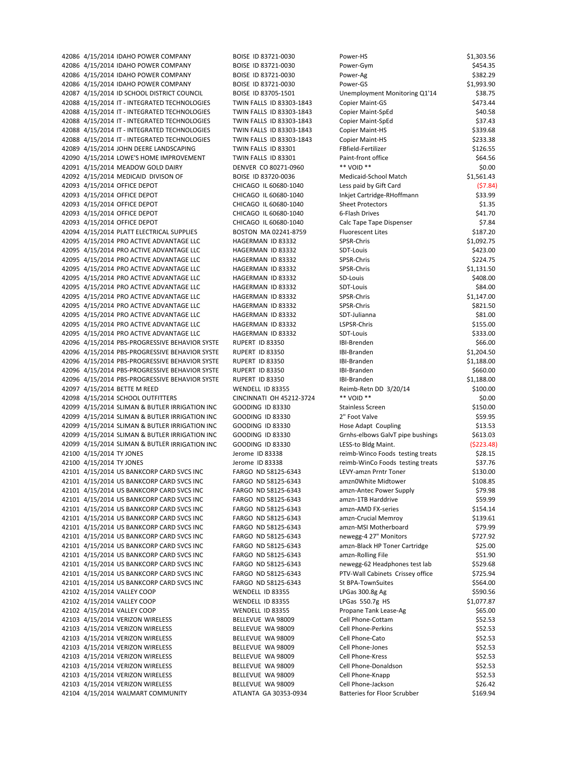42086 4/15/2014 IDAHO POWER COMPANY BOISE ID 83721-0030 Power-Gym \$454.35 42086 4/15/2014 IDAHO POWER COMPANY BOISE ID 83721-0030 Power-Ag \$382.29 42086 4/15/2014 IDAHO POWER COMPANY BOISE ID 83721-0030 Power-GS \$1,993.90 42087 4/15/2014 ID SCHOOL DISTRICT COUNCIL BOISE ID 83705-1501 Unemployment Monitoring Q1'14 \$38.75 42088 4/15/2014 IT - INTEGRATED TECHNOLOGIES TWIN FALLS ID 83303-1843 Copier Maint-GS \$473.44 42088 4/15/2014 IT ‐ INTEGRATED TECHNOLOGIES TWIN FALLS ID 83303‐1843 Copier Maint‐SpEd \$40.58 42088 4/15/2014 IT - INTEGRATED TECHNOLOGIES TWIN FALLS ID 83303-1843 Copier Maint-SpEd \$37.43 42088 4/15/2014 IT ‐ INTEGRATED TECHNOLOGIES TWIN FALLS ID 83303‐1843 Copier Maint‐HS \$339.68 42088 4/15/2014 IT ‐ INTEGRATED TECHNOLOGIES TWIN FALLS ID 83303‐1843 Copier Maint‐HS \$233.38 42089 4/15/2014 JOHN DEERE LANDSCAPING TWIN FALLS ID 83301 FBfield-Fertilizer \$126.55 42090 4/15/2014 LOWE'S HOME IMPROVEMENT TWIN FALLS ID 83301 Paint-front office \$64.56 42091 4/15/2014 MEADOW GOLD DAIRY DENVER CO 80271-0960 \*\* VOID \*\* \$1.00 42092 4/15/2014 MEDICAID DIVISON OF BOISE ID 83720-0036 Medicaid-School Match \$1,561.43 42093 4/15/2014 OFFICE DEPOT CHICAGO IL 60680-1040 Less paid by Gift Card (\$7.84) 42093 4/15/2014 OFFICE DEPOT CHICAGO IL 60680‐1040 Inkjet Cartridge‐RHoffmann \$33.99 42093 4/15/2014 OFFICE DEPOT CHICAGO IL 60680-1040 Sheet Protectors S1.35 42093 4/15/2014 OFFICE DEPOT CHICAGO IL 60680-1040 6-Flash Drives 6-81.70 42093 4/15/2014 OFFICE DEPOT CHICAGO IL 60680-1040 Calc Tape Tape Dispenser \$7.84 42094 4/15/2014 PLATT ELECTRICAL SUPPLIES BOSTON MA 02241-8759 Fluorescent Lites \$187.20 42095 4/15/2014 PRO ACTIVE ADVANTAGE LLC HAGERMAN ID 83332 SPSR-Chris \$1,092.75 42095 4/15/2014 PRO ACTIVE ADVANTAGE LLC HAGERMAN ID 83332 SDT-Louis SA23.00 42095 4/15/2014 PRO ACTIVE ADVANTAGE LLC 
HAGERMAN ID 83332 SPSR-Chris S224.75 42095 4/15/2014 PRO ACTIVE ADVANTAGE LLC HAGERMAN ID 83332 SPSR-Chris SPSR-Chris \$1,131.50 42095 4/15/2014 PRO ACTIVE ADVANTAGE LLC HAGERMAN ID 83332 SD-Louis \$408.00 42095 4/15/2014 PRO ACTIVE ADVANTAGE LLC 
HAGERMAN ID 83332 SDT-Louis 
SDT-Louis \$84.00 42095 4/15/2014 PRO ACTIVE ADVANTAGE LLC HAGERMAN ID 83332 SPSR-Chris \$1,147.00 42095 4/15/2014 PRO ACTIVE ADVANTAGE LLC HAGERMAN ID 83332 SPSR-Chris \$821.50 42095 4/15/2014 PRO ACTIVE ADVANTAGE LLC 
HAGERMAN ID 83332 SDT-Julianna 
S81.00 42095 4/15/2014 PRO ACTIVE ADVANTAGE LLC 
HAGERMAN ID 83332

HAGERMAN ID 83332

HAGERMAN ID 83332

ADD 1975 ALSPSR-Chris CHRISTAN S155.00 42095 4/15/2014 PRO ACTIVE ADVANTAGE LLC HAGERMAN ID 83332 SDT‐Louis \$333.00 42096 4/15/2014 PBS-PROGRESSIVE BEHAVIOR SYSTE RUPERT ID 83350 IBI-Brenden \$66.00 42096 4/15/2014 PBS‐PROGRESSIVE BEHAVIOR SYSTE RUPERT ID 83350 IBI‐Branden IBI‐Branden \$1,204.50 42096 4/15/2014 PBS-PROGRESSIVE BEHAVIOR SYSTE RUPERT ID 83350 IBI-Branden **IBI-Branden** \$1,188.00 42096 4/15/2014 PBS-PROGRESSIVE BEHAVIOR SYSTE RUPERT ID 83350 IBI-Branden \$660.00 42096 4/15/2014 PBS-PROGRESSIVE BEHAVIOR SYSTE RUPERT ID 83350 IBI-Branden IBI-Branden \$1,188.00 42097 4/15/2014 BETTE M REED WENDELL ID 83355 Reimb-Retn DD 3/20/14 \$100.00 42098 4/15/2014 SCHOOL OUTFITTERS CINCINNATI OH 45212-3724 \*\* VOID \*\* \$0.00 42099 4/15/2014 SLIMAN & BUTLER IRRIGATION INC GOODING ID 83330 Stainless Screen \$150.00 42099 4/15/2014 SLIMAN & BUTLER IRRIGATION INC GOODING ID 83330 2 TFoot Valve \$59.95 42099 4/15/2014 SLIMAN & BUTLER IRRIGATION INC GOODING ID 83330 Hose Adapt Coupling \$13.53 42099 4/15/2014 SLIMAN & BUTLER IRRIGATION INC GOODING ID 83330 Grnhs-elbows GalvT pipe bushings \$613.03 42099 4/15/2014 SLIMAN & BUTLER IRRIGATION INC GOODING ID 83330 LESS-to Bldg Maint. (\$223.48) 42100 4/15/2014 TY JONES Jerome ID 83338 reimb-Winco Foods testing treats \$28.15 42100 4/15/2014 TY JONES SALLEY SALLEY SERVICE ID 83338 FERMING TO ALLEY SOLD A SALLEY STRAIN THE STRAIN SERVI 42101 4/15/2014 US BANKCORP CARD SVCS INC FARGO ND 58125‐6343 LEVY‐amzn Prntr Toner \$130.00 42101 4/15/2014 US BANKCORP CARD SVCS INC FARGO ND 58125-6343 amzn0White Midtower \$108.85 42101 4/15/2014 US BANKCORP CARD SVCS INC FARGO ND 58125‐6343 amzn‐Antec Power Supply \$79.98 42101 4/15/2014 US BANKCORP CARD SVCS INC FARGO ND 58125-6343 amzn-1TB Harddrive \$59.99 42101 4/15/2014 US BANKCORP CARD SVCS INC FARGO ND 58125-6343 amzn-AMD FX-series \$154.14 42101 4/15/2014 US BANKCORP CARD SVCS INC FARGO ND 58125-6343 amzn-Crucial Memrov \$139.61 42101 4/15/2014 US BANKCORP CARD SVCS INC FARGO ND 58125-6343 amzn-MSI Motherboard \$79.99 42101 4/15/2014 US BANKCORP CARD SVCS INC FARGO ND 58125-6343 newegg-4 27" Monitors \$727.92 42101 4/15/2014 US BANKCORP CARD SVCS INC FARGO ND 58125-6343 amzn-Black HP Toner Cartridge \$25.00 42101 4/15/2014 US BANKCORP CARD SVCS INC FARGO ND 58125-6343 amzn-Rolling File \$51.90 42101 4/15/2014 US BANKCORP CARD SVCS INC FARGO ND 58125-6343 newegg-62 Headphones test lab \$529.68 42101 4/15/2014 US BANKCORP CARD SVCS INC FARGO ND 58125-6343 PTV-Wall Cabinets Crissey office \$725.94 42101 4/15/2014 US BANKCORP CARD SVCS INC FARGO ND 58125-6343 St BPA-TownSuites \$564.00 42102 4/15/2014 VALLEY COOP WENDELL ID 83355 LPGas 300.8g Ag \$590.56 42102 4/15/2014 VALLEY COOP WENDELL ID 83355 LPGas 550.7g HS \$1,077.87 42102 4/15/2014 VALLEY COOP WENDELL ID 83355 Propane Tank Lease-Ag \$65.00 42103 4/15/2014 VERIZON WIRELESS BELLEVUE WA 98009 Cell Phone-Cottam \$52.53 42103 4/15/2014 VERIZON WIRELESS BELLEVUE WA 98009 Cell Phone‐Perkins \$52.53 42103 4/15/2014 VERIZON WIRELESS BELLEVUE WA 98009 Cell Phone-Cato \$52.53 42103 4/15/2014 VERIZON WIRELESS BELLEVUE WA 98009 Cell Phone-Jones \$52.53 42103 4/15/2014 VERIZON WIRELESS BELLEVUE WA 98009 Cell Phone-Kress \$52.53 42103 4/15/2014 VERIZON WIRELESS BELLEVUE WA 98009 Cell Phone-Donaldson \$52.53 42103 4/15/2014 VERIZON WIRELESS BELLEVUE WA 98009 Cell Phone-Knapp \$52.53 42103 4/15/2014 VERIZON WIRELESS BELLEVUE WA 98009 Cell Phone-Jackson \$26.42 42104 4/15/2014 WALMART COMMUNITY ATLANTA GA 30353‐0934 Batteries for Floor Scrubber \$169.94

42086 4/15/2014 IDAHO POWER COMPANY BOISE ID 83721-0030 Power-HS **Power-HS** \$1,303.56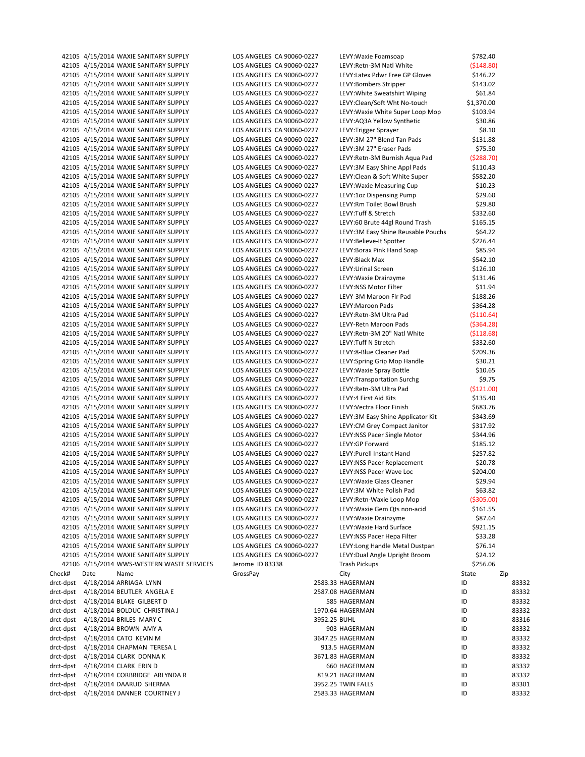|                        |      | 42105 4/15/2014 WAXIE SANITARY SUPPLY                                          | LOS ANGELES CA 90060-0227                              |              | LEVY: Waxie Foamsoap                                  | \$782.40               |                |
|------------------------|------|--------------------------------------------------------------------------------|--------------------------------------------------------|--------------|-------------------------------------------------------|------------------------|----------------|
|                        |      | 42105 4/15/2014 WAXIE SANITARY SUPPLY                                          | LOS ANGELES CA 90060-0227                              |              | LEVY:Retn-3M Natl White                               | ( \$148.80)            |                |
|                        |      | 42105 4/15/2014 WAXIE SANITARY SUPPLY                                          | LOS ANGELES CA 90060-0227                              |              | LEVY: Latex Pdwr Free GP Gloves                       | \$146.22               |                |
|                        |      | 42105 4/15/2014 WAXIE SANITARY SUPPLY                                          | LOS ANGELES CA 90060-0227                              |              | LEVY:Bombers Stripper                                 | \$143.02               |                |
|                        |      | 42105 4/15/2014 WAXIE SANITARY SUPPLY                                          | LOS ANGELES CA 90060-0227                              |              | LEVY: White Sweatshirt Wiping                         | \$61.84                |                |
|                        |      | 42105 4/15/2014 WAXIE SANITARY SUPPLY                                          | LOS ANGELES CA 90060-0227                              |              | LEVY:Clean/Soft Wht No-touch                          | \$1,370.00             |                |
|                        |      | 42105 4/15/2014 WAXIE SANITARY SUPPLY                                          | LOS ANGELES CA 90060-0227                              |              | LEVY: Waxie White Super Loop Mop                      | \$103.94               |                |
|                        |      | 42105 4/15/2014 WAXIE SANITARY SUPPLY                                          | LOS ANGELES CA 90060-0227                              |              | LEVY:AQ3A Yellow Synthetic                            | \$30.86                |                |
|                        |      | 42105 4/15/2014 WAXIE SANITARY SUPPLY                                          | LOS ANGELES CA 90060-0227                              |              | LEVY: Trigger Sprayer                                 | \$8.10                 |                |
|                        |      | 42105 4/15/2014 WAXIE SANITARY SUPPLY<br>42105 4/15/2014 WAXIE SANITARY SUPPLY | LOS ANGELES CA 90060-0227<br>LOS ANGELES CA 90060-0227 |              | LEVY:3M 27" Blend Tan Pads<br>LEVY:3M 27" Eraser Pads | \$131.88<br>\$75.50    |                |
|                        |      | 42105 4/15/2014 WAXIE SANITARY SUPPLY                                          | LOS ANGELES CA 90060-0227                              |              | LEVY: Retn-3M Burnish Agua Pad                        | (5288.70)              |                |
|                        |      | 42105 4/15/2014 WAXIE SANITARY SUPPLY                                          | LOS ANGELES CA 90060-0227                              |              | LEVY:3M Easy Shine Appl Pads                          | \$110.43               |                |
|                        |      | 42105 4/15/2014 WAXIE SANITARY SUPPLY                                          | LOS ANGELES CA 90060-0227                              |              | LEVY: Clean & Soft White Super                        | \$582.20               |                |
|                        |      | 42105 4/15/2014 WAXIE SANITARY SUPPLY                                          | LOS ANGELES CA 90060-0227                              |              | LEVY: Waxie Measuring Cup                             | \$10.23                |                |
|                        |      | 42105 4/15/2014 WAXIE SANITARY SUPPLY                                          | LOS ANGELES CA 90060-0227                              |              | LEVY:1oz Dispensing Pump                              | \$29.60                |                |
|                        |      | 42105 4/15/2014 WAXIE SANITARY SUPPLY                                          | LOS ANGELES CA 90060-0227                              |              | LEVY:Rm Toilet Bowl Brush                             | \$29.80                |                |
|                        |      | 42105 4/15/2014 WAXIE SANITARY SUPPLY                                          | LOS ANGELES CA 90060-0227                              |              | LEVY: Tuff & Stretch                                  | \$332.60               |                |
|                        |      | 42105 4/15/2014 WAXIE SANITARY SUPPLY                                          | LOS ANGELES CA 90060-0227                              |              | LEVY:60 Brute 44gl Round Trash                        | \$165.15               |                |
|                        |      | 42105 4/15/2014 WAXIE SANITARY SUPPLY                                          | LOS ANGELES CA 90060-0227                              |              | LEVY:3M Easy Shine Reusable Pouchs                    | \$64.22                |                |
|                        |      | 42105 4/15/2014 WAXIE SANITARY SUPPLY                                          | LOS ANGELES CA 90060-0227                              |              | LEVY:Believe-It Spotter                               | \$226.44               |                |
|                        |      | 42105 4/15/2014 WAXIE SANITARY SUPPLY                                          | LOS ANGELES CA 90060-0227                              |              | LEVY: Borax Pink Hand Soap                            | \$85.94                |                |
|                        |      | 42105 4/15/2014 WAXIE SANITARY SUPPLY                                          | LOS ANGELES CA 90060-0227                              |              | LEVY: Black Max                                       | \$542.10               |                |
|                        |      | 42105 4/15/2014 WAXIE SANITARY SUPPLY                                          | LOS ANGELES CA 90060-0227                              |              | LEVY: Urinal Screen                                   | \$126.10               |                |
|                        |      | 42105 4/15/2014 WAXIE SANITARY SUPPLY                                          | LOS ANGELES CA 90060-0227                              |              | LEVY: Waxie Drainzyme                                 | \$131.46               |                |
|                        |      | 42105 4/15/2014 WAXIE SANITARY SUPPLY                                          | LOS ANGELES CA 90060-0227                              |              | LEVY:NSS Motor Filter                                 | \$11.94                |                |
|                        |      | 42105 4/15/2014 WAXIE SANITARY SUPPLY                                          | LOS ANGELES CA 90060-0227                              |              | LEVY-3M Maroon Flr Pad                                | \$188.26               |                |
|                        |      | 42105 4/15/2014 WAXIE SANITARY SUPPLY                                          | LOS ANGELES CA 90060-0227                              |              | LEVY: Maroon Pads                                     | \$364.28               |                |
|                        |      | 42105 4/15/2014 WAXIE SANITARY SUPPLY                                          | LOS ANGELES CA 90060-0227                              |              | LEVY:Retn-3M Ultra Pad                                | ( \$110.64)            |                |
|                        |      | 42105 4/15/2014 WAXIE SANITARY SUPPLY                                          | LOS ANGELES CA 90060-0227                              |              | LEVY-Retn Maroon Pads                                 | ( \$364.28)            |                |
|                        |      | 42105 4/15/2014 WAXIE SANITARY SUPPLY<br>42105 4/15/2014 WAXIE SANITARY SUPPLY | LOS ANGELES CA 90060-0227<br>LOS ANGELES CA 90060-0227 |              | LEVY:Retn-3M 20" Natl White<br>LEVY: Tuff N Stretch   | ( \$118.68)            |                |
|                        |      | 42105 4/15/2014 WAXIE SANITARY SUPPLY                                          | LOS ANGELES CA 90060-0227                              |              | LEVY:8-Blue Cleaner Pad                               | \$332.60<br>\$209.36   |                |
|                        |      | 42105 4/15/2014 WAXIE SANITARY SUPPLY                                          | LOS ANGELES CA 90060-0227                              |              | LEVY: Spring Grip Mop Handle                          | \$30.21                |                |
|                        |      | 42105 4/15/2014 WAXIE SANITARY SUPPLY                                          | LOS ANGELES CA 90060-0227                              |              | LEVY: Waxie Spray Bottle                              | \$10.65                |                |
|                        |      | 42105 4/15/2014 WAXIE SANITARY SUPPLY                                          | LOS ANGELES CA 90060-0227                              |              | LEVY: Transportation Surchg                           | \$9.75                 |                |
|                        |      | 42105 4/15/2014 WAXIE SANITARY SUPPLY                                          | LOS ANGELES CA 90060-0227                              |              | LEVY:Retn-3M Ultra Pad                                | (\$121.00)             |                |
|                        |      | 42105 4/15/2014 WAXIE SANITARY SUPPLY                                          | LOS ANGELES CA 90060-0227                              |              | LEVY:4 First Aid Kits                                 | \$135.40               |                |
|                        |      | 42105 4/15/2014 WAXIE SANITARY SUPPLY                                          | LOS ANGELES CA 90060-0227                              |              | LEVY: Vectra Floor Finish                             | \$683.76               |                |
|                        |      | 42105 4/15/2014 WAXIE SANITARY SUPPLY                                          | LOS ANGELES CA 90060-0227                              |              | LEVY:3M Easy Shine Applicator Kit                     | \$343.69               |                |
|                        |      | 42105 4/15/2014 WAXIE SANITARY SUPPLY                                          | LOS ANGELES CA 90060-0227                              |              | LEVY:CM Grey Compact Janitor                          | \$317.92               |                |
|                        |      | 42105 4/15/2014 WAXIE SANITARY SUPPLY                                          | LOS ANGELES CA 90060-0227                              |              | LEVY:NSS Pacer Single Motor                           | \$344.96               |                |
|                        |      | 42105 4/15/2014 WAXIE SANITARY SUPPLY                                          | LOS ANGELES CA 90060-0227                              |              | LEVY:GP Forward                                       | \$185.12               |                |
|                        |      | 42105 4/15/2014 WAXIE SANITARY SUPPLY                                          | LOS ANGELES CA 90060-0227                              |              | LEVY: Purell Instant Hand                             | \$257.82               |                |
|                        |      | 42105 4/15/2014 WAXIE SANITARY SUPPLY                                          | LOS ANGELES CA 90060-0227                              |              | LEVY:NSS Pacer Replacement                            | \$20.78                |                |
|                        |      | 42105 4/15/2014 WAXIE SANITARY SUPPLY                                          | LOS ANGELES CA 90060-0227                              |              | LEVY:NSS Pacer Wave Loc                               | \$204.00               |                |
|                        |      | 42105 4/15/2014 WAXIE SANITARY SUPPLY                                          | LOS ANGELES CA 90060-0227                              |              | LEVY: Waxie Glass Cleaner                             | \$29.94                |                |
|                        |      | 42105 4/15/2014 WAXIE SANITARY SUPPLY<br>42105 4/15/2014 WAXIE SANITARY SUPPLY | LOS ANGELES CA 90060-0227<br>LOS ANGELES CA 90060-0227 |              | LEVY:3M White Polish Pad<br>LEVY:Retn-Waxie Loop Mop  | \$63.82<br>( \$305.00) |                |
|                        |      | 42105 4/15/2014 WAXIE SANITARY SUPPLY                                          | LOS ANGELES CA 90060-0227                              |              | LEVY: Waxie Gem Qts non-acid                          | \$161.55               |                |
|                        |      | 42105 4/15/2014 WAXIE SANITARY SUPPLY                                          | LOS ANGELES CA 90060-0227                              |              | LEVY: Waxie Drainzyme                                 | \$87.64                |                |
|                        |      | 42105 4/15/2014 WAXIE SANITARY SUPPLY                                          | LOS ANGELES CA 90060-0227                              |              | LEVY: Waxie Hard Surface                              | \$921.15               |                |
|                        |      | 42105 4/15/2014 WAXIE SANITARY SUPPLY                                          | LOS ANGELES CA 90060-0227                              |              | LEVY:NSS Pacer Hepa Filter                            | \$33.28                |                |
|                        |      | 42105 4/15/2014 WAXIE SANITARY SUPPLY                                          | LOS ANGELES CA 90060-0227                              |              | LEVY: Long Handle Metal Dustpan                       | \$76.14                |                |
|                        |      | 42105 4/15/2014 WAXIE SANITARY SUPPLY                                          | LOS ANGELES CA 90060-0227                              |              | LEVY: Dual Angle Upright Broom                        | \$24.12                |                |
|                        |      | 42106 4/15/2014 WWS-WESTERN WASTE SERVICES                                     | Jerome ID 83338                                        |              | <b>Trash Pickups</b>                                  | \$256.06               |                |
| Check#                 | Date | Name                                                                           | GrossPay                                               |              | City                                                  | State                  | Zip            |
| drct-dpst              |      | 4/18/2014 ARRIAGA LYNN                                                         |                                                        |              | 2583.33 HAGERMAN                                      | ID                     | 83332          |
| drct-dpst              |      | 4/18/2014 BEUTLER ANGELA E                                                     |                                                        |              | 2587.08 HAGERMAN                                      | ID                     | 83332          |
| drct-dpst              |      | 4/18/2014 BLAKE GILBERT D                                                      |                                                        |              | 585 HAGERMAN                                          | ID                     | 83332          |
| drct-dpst              |      | 4/18/2014 BOLDUC CHRISTINA J                                                   |                                                        |              | 1970.64 HAGERMAN                                      | ID                     | 83332          |
| drct-dpst              |      | 4/18/2014 BRILES MARY C                                                        |                                                        | 3952.25 BUHL |                                                       | ID                     | 83316          |
| drct-dpst              |      | 4/18/2014 BROWN AMY A                                                          |                                                        |              | 903 HAGERMAN                                          | ID                     | 83332          |
| drct-dpst              |      | 4/18/2014 CATO KEVIN M                                                         |                                                        |              | 3647.25 HAGERMAN                                      | ID                     | 83332          |
| drct-dpst              |      | 4/18/2014 CHAPMAN TERESA L                                                     |                                                        |              | 913.5 HAGERMAN                                        | ID                     | 83332          |
| drct-dpst<br>drct-dpst |      | 4/18/2014 CLARK DONNA K<br>4/18/2014 CLARK ERIN D                              |                                                        |              | 3671.83 HAGERMAN<br>660 HAGERMAN                      | ID<br>ID               | 83332<br>83332 |
| drct-dpst              |      | 4/18/2014 CORBRIDGE ARLYNDA R                                                  |                                                        |              | 819.21 HAGERMAN                                       | ID                     | 83332          |
| drct-dpst              |      | 4/18/2014 DAARUD SHERMA                                                        |                                                        |              | 3952.25 TWIN FALLS                                    | ID                     | 83301          |
| drct-dpst              |      | 4/18/2014 DANNER COURTNEY J                                                    |                                                        |              | 2583.33 HAGERMAN                                      | ID                     | 83332          |
|                        |      |                                                                                |                                                        |              |                                                       |                        |                |